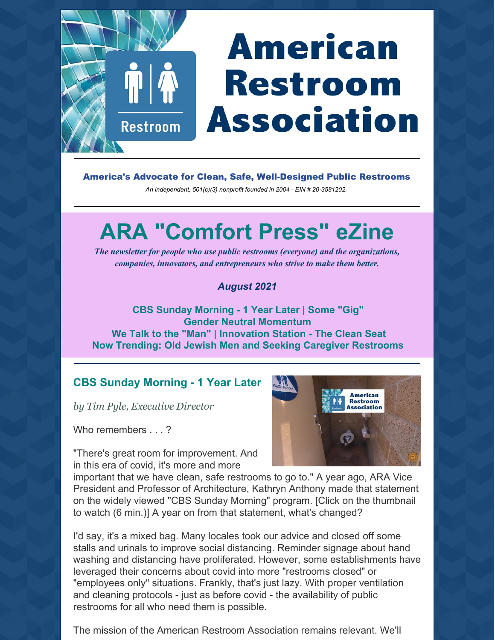# **American Restroom Association**

America's Advocate for Clean, Safe, Well-Designed Public Restrooms

*An independent, 501(c)(3) nonprofit founded in 2004 - EIN # 20-3581202.*

# **ARA "Comfort Press" eZine**

*The newsletter for people who use public restrooms (everyone) and the organizations, companies, innovators, and entrepreneurs who strive to make them better.*

### *August 2021*

**CBS Sunday Morning - 1 Year Later | Some "Gig" Gender Neutral Momentum We Talk to the "Man" | Innovation Station - The Clean Seat Now Trending: Old Jewish Men and Seeking Caregiver Restrooms**

# **CBS Sunday Morning - 1 Year Later**

*by Tim Pyle, Executive Director*

Restroom

Who remembers . . . ?

"There's great room for improvement. And in this era of covid, it's more and more

**American Restroom** ociation

important that we have clean, safe restrooms to go to." A year ago, ARA Vice President and Professor of Architecture, Kathryn Anthony made that statement on the widely viewed "CBS Sunday Morning" program. [Click on the thumbnail to watch (6 min.)] A year on from that statement, what's changed?

I'd say, it's a mixed bag. Many locales took our advice and closed off some stalls and urinals to improve social distancing. Reminder signage about hand washing and distancing have proliferated. However, some establishments have leveraged their concerns about covid into more "restrooms closed" or "employees only" situations. Frankly, that's just lazy. With proper ventilation and cleaning protocols - just as before covid - the availability of public restrooms for all who need them is possible.

The mission of the American Restroom Association remains relevant. We'll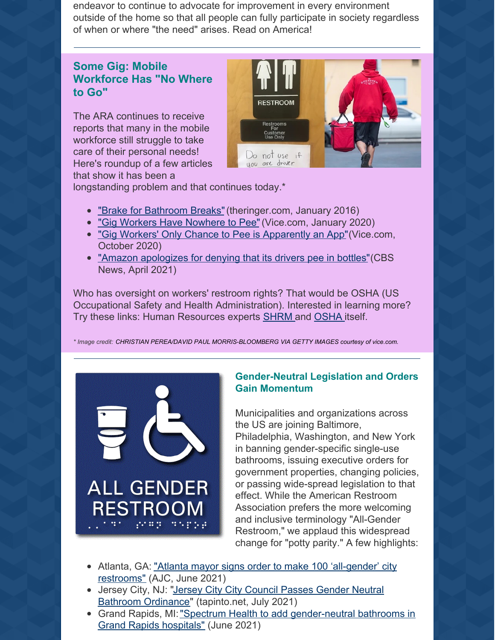endeavor to continue to advocate for improvement in every environment outside of the home so that all people can fully participate in society regardless of when or where "the need" arises. Read on America!

## **Some Gig: Mobile Workforce Has "No Where to Go"**

The ARA continues to receive reports that many in the mobile workforce still struggle to take care of their personal needs! Here's roundup of a few articles that show it has been a



longstanding problem and that continues today.\*

- "Brake for [Bathroom](https://www.theringer.com/2016/11/21/16046662/brake-for-bathroom-breaks-f65cf6d68aad) Breaks" (theringer.com, January 2016)
- "Gig Workers Have [Nowhere](https://www.vice.com/en/article/884xyp/gig-workers-have-nowhere-to-pee) to Pee"(Vice.com, January 2020)
- "Gig Workers' Only Chance to Pee is [Apparently](https://www.vice.com/en/article/93w5by/gig-workers-only-chance-to-pee-is-apparently-an-app) an App" (Vice.com, October 2020)
- "Amazon [apologizes](https://www.cbsnews.com/news/amazon-drivers-peeing-in-bottles-union-vote-worker-complaints/) for denying that its drivers pee in bottles" (CBS News, April 2021)

Who has oversight on workers' restroom rights? That would be OSHA (US Occupational Safety and Health Administration). Interested in learning more? Try these links: Human Resources experts [SHRM](https://www.shrm.org/resourcesandtools/hr-topics/risk-management/pages/osha-restroom-rules.aspx) and [OSHA](https://www.osha.gov/restrooms-sanitation) itself.

*\* Image credit: CHRISTIAN PEREA/DAVID PAUL MORRIS-BLOOMBERG VIA GETTY IMAGES courtesy of vice.com.*



#### **Gender-Neutral Legislation and Orders Gain Momentum**

Municipalities and organizations across the US are joining Baltimore, Philadelphia, Washington, and New York in banning gender-specific single-use bathrooms, issuing executive orders for government properties, changing policies, or passing wide-spread legislation to that effect. While the American Restroom Association prefers the more welcoming and inclusive terminology "All-Gender Restroom," we applaud this widespread change for "potty parity." A few highlights:

- Atlanta, GA: "Atlanta mayor signs order to make 100 ['all-gender'](https://www.ajc.com/news/atlanta-news/atlanta-mayor-signs-order-to-make-100-all-gender-city-restrooms/BCHLAEAIMVDC3PAJN5BGC5SJXE/) city restrooms" (AJC, June 2021)
- Jersey City, NJ: "Jersey City City Council Passes Gender Neutral Bathroom Ordinance" [\(tapinto.net,](https://www.tapinto.net/towns/jersey-city/sections/government/articles/jersey-city-city-council-passes-gender-neutral-bathroom-ordinance) July 2021)
- Grand Rapids, MI: "Spectrum Health to add [gender-neutral](https://www.wzzm13.com/article/news/local/spectrum-health-to-add-gender-neutral-bathrooms/69-048c7e0e-1631-48a6-9c77-f32129e5f2a2) bathrooms in Grand Rapids hospitals" (June 2021)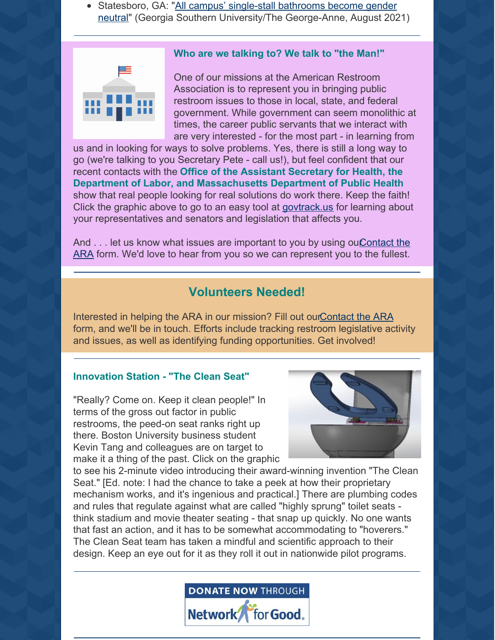• Statesboro, GA: "All campus' single-stall bathrooms become gender neutral" (Georgia Southern [University/The](https://thegeorgeanne.com/31352/uncategorized/all-campus-single-stall-bathrooms-become-gender-neutral/) George-Anne, August 2021)

#### **Who are we talking to? We talk to "the Man!"**



One of our missions at the American Restroom Association is to represent you in bringing public restroom issues to those in local, state, and federal government. While government can seem monolithic at times, the career public servants that we interact with are very interested - for the most part - in learning from

us and in looking for ways to solve problems. Yes, there is still a long way to go (we're talking to you Secretary Pete - call us!), but feel confident that our recent contacts with the **Office of the Assistant Secretary for Health, the Department of Labor, and Massachusetts Department of Public Health** show that real people looking for real solutions do work there. Keep the faith! Click the graphic above to go to an easy tool at [govtrack.us](https://www.govtrack.us/) for learning about your representatives and senators and legislation that affects you.

And . . . let us know what issues are important to you by using ou Contact the ARA form. We'd love to hear from you so we can represent you to the fullest.

# **Volunteers Needed!**

Interested in helping the ARA in our mission? Fill out our Contact the ARA form, and we'll be in touch. Efforts include tracking restroom legislative activity and issues, as well as identifying funding opportunities. Get involved!

#### **Innovation Station - "The Clean Seat"**

"Really? Come on. Keep it clean people!" In terms of the gross out factor in public restrooms, the peed-on seat ranks right up there. Boston University business student Kevin Tang and colleagues are on target to make it a thing of the past. Click on the graphic



to see his 2-minute video introducing their award-winning invention "The Clean Seat." [Ed. note: I had the chance to take a peek at how their proprietary mechanism works, and it's ingenious and practical.] There are plumbing codes and rules that regulate against what are called "highly sprung" toilet seats think stadium and movie theater seating - that snap up quickly. No one wants that fast an action, and it has to be somewhat accommodating to "hoverers." The Clean Seat team has taken a mindful and scientific approach to their design. Keep an eye out for it as they roll it out in nationwide pilot programs.

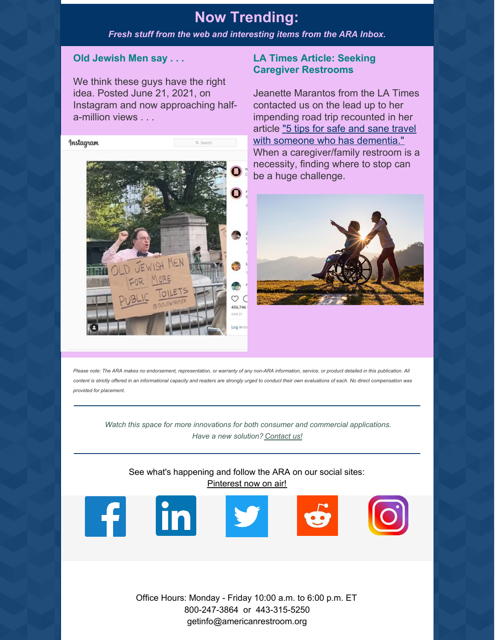# **Now Trending:**

*Fresh stuff from the web and interesting items from the ARA Inbox.*

#### **Old Jewish Men say . . .**

We think these guys have the right idea. Posted June 21, 2021, on Instagram and now approaching halfa-million views . . .



#### **LA Times Article: Seeking Caregiver Restrooms**

Jeanette Marantos from the LA Times contacted us on the lead up to her impending road trip recounted in her article "5 tips for safe and sane travel with someone who has [dementia."](https://americanrestroom.org/articles/) When a caregiver/family restroom is a necessity, finding where to stop can be a huge challenge.



Please note: The ARA makes no endorsement, representation, or warranty of any non-ARA information, service, or product detailed in this publication. All content is strictly offered in an informational capacity and readers are strongly urged to conduct their own evaluations of each. No direct compensation was *provided for placement.*

*Watch this space for more innovations for both consumer and commercial applications. Have a new solution? [Contact](https://americanrestroom.org/contact/) us!*

See what's happening and follow the ARA on our social sites: [Pinterest](https://www.pinterest.com/American_Restroom_Association/) now on air!



Office Hours: Monday - Friday 10:00 a.m. to 6:00 p.m. ET 800-247-3864 or 443-315-5250 getinfo@americanrestroom.org